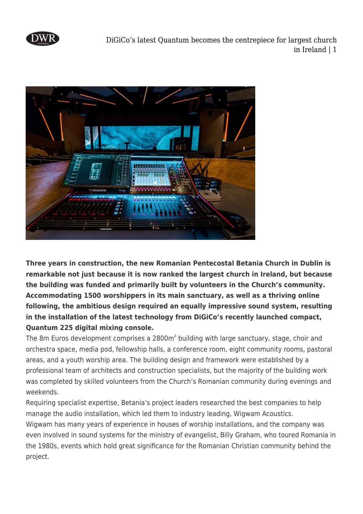

DiGiCo's latest Quantum becomes the centrepiece for largest church in Ireland | 1



**Three years in construction, the new Romanian Pentecostal Betania Church in Dublin is remarkable not just because it is now ranked the largest church in Ireland, but because the building was funded and primarily built by volunteers in the Church's community. Accommodating 1500 worshippers in its main sanctuary, as well as a thriving online following, the ambitious design required an equally impressive sound system, resulting in the installation of the latest technology from DiGiCo's recently launched compact, Quantum 225 digital mixing console.**

The 8m Euros development comprises a 2800m<sup>2</sup> building with large sanctuary, stage, choir and orchestra space, media pod, fellowship halls, a conference room, eight community rooms, pastoral areas, and a youth worship area. The building design and framework were established by a professional team of architects and construction specialists, but the majority of the building work was completed by skilled volunteers from the Church's Romanian community during evenings and weekends.

Requiring specialist expertise, Betania's project leaders researched the best companies to help manage the audio installation, which led them to industry leading, Wigwam Acoustics. Wigwam has many years of experience in houses of worship installations, and the company was even involved in sound systems for the ministry of evangelist, Billy Graham, who toured Romania in the 1980s, events which hold great significance for the Romanian Christian community behind the project.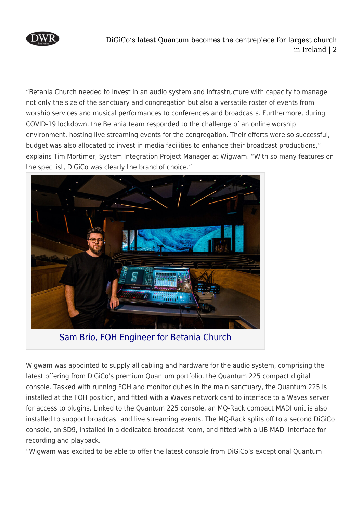

DiGiCo's latest Quantum becomes the centrepiece for largest church in Ireland | 2

"Betania Church needed to invest in an audio system and infrastructure with capacity to manage not only the size of the sanctuary and congregation but also a versatile roster of events from worship services and musical performances to conferences and broadcasts. Furthermore, during COVID-19 lockdown, the Betania team responded to the challenge of an online worship environment, hosting live streaming events for the congregation. Their efforts were so successful, budget was also allocated to invest in media facilities to enhance their broadcast productions," explains Tim Mortimer, System Integration Project Manager at Wigwam. "With so many features on the spec list, DiGiCo was clearly the brand of choice."



Sam Brio, FOH Engineer for Betania Church

Wigwam was appointed to supply all cabling and hardware for the audio system, comprising the latest offering from DiGiCo's premium Quantum portfolio, the Quantum 225 compact digital console. Tasked with running FOH and monitor duties in the main sanctuary, the Quantum 225 is installed at the FOH position, and fitted with a Waves network card to interface to a Waves server for access to plugins. Linked to the Quantum 225 console, an MQ-Rack compact MADI unit is also installed to support broadcast and live streaming events. The MQ-Rack splits off to a second DiGiCo console, an SD9, installed in a dedicated broadcast room, and fitted with a UB MADI interface for recording and playback.

"Wigwam was excited to be able to offer the latest console from DiGiCo's exceptional Quantum